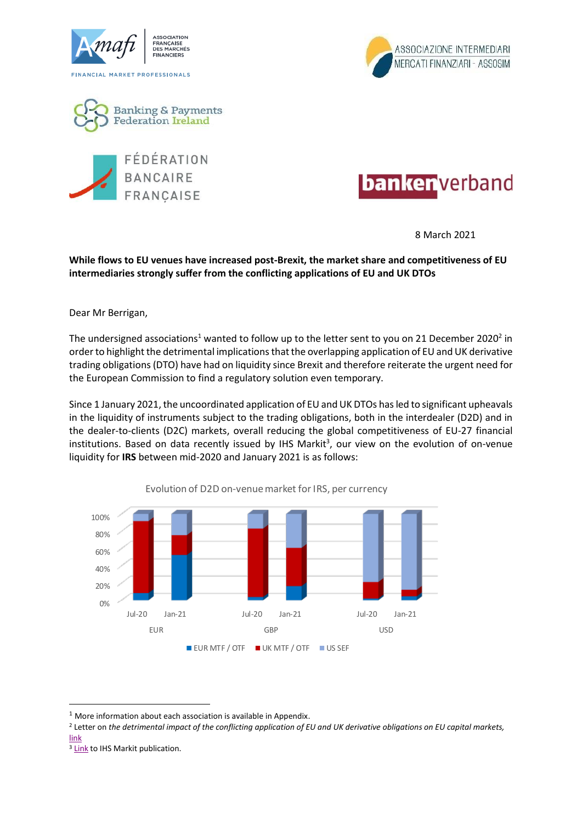









8 March 2021

## **While flows to EU venues have increased post-Brexit, the market share and competitiveness of EU intermediaries strongly suffer from the conflicting applications of EU and UK DTOs**

Dear Mr Berrigan,

The undersigned associations<sup>1</sup> wanted to follow up to the letter sent to you on 21 December 2020<sup>2</sup> in order to highlight the detrimental implications that the overlapping application of EU and UK derivative trading obligations (DTO) have had on liquidity since Brexit and therefore reiterate the urgent need for the European Commission to find a regulatory solution even temporary.

Since 1 January 2021, the uncoordinated application of EU and UK DTOs has led to significant upheavals in the liquidity of instruments subject to the trading obligations, both in the interdealer (D2D) and in the dealer-to-clients (D2C) markets, overall reducing the global competitiveness of EU-27 financial institutions. Based on data recently issued by IHS Markit<sup>3</sup>, our view on the evolution of on-venue liquidity for **IRS** between mid-2020 and January 2021 is as follows:



Evolution of D2D on-venue market for IRS, per currency

<sup>3</sup> [Link](https://ihsmarkit.com/research-analysis/2021-brexit-no-equivalence-for-pan-european-otc-interest-rate-.html) to IHS Markit publication.

 $1$  More information about each association is available in Appendix.

<sup>2</sup> Letter on *the detrimental impact of the conflicting application of EU and UK derivative obligations on EU capital markets,* [link](http://www.amafi.fr/download/pages/oTHOP9N07XiqQBB2aLVdatH5KYk0nWbgu3vt5kjZ.pdf)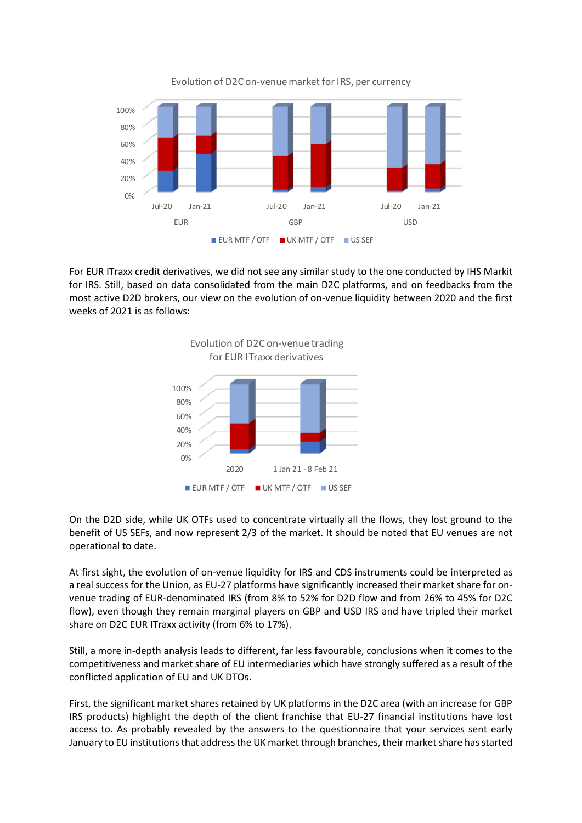

Evolution of D2C on-venue market for IRS, per currency

For EUR ITraxx credit derivatives, we did not see any similar study to the one conducted by IHS Markit for IRS. Still, based on data consolidated from the main D2C platforms, and on feedbacks from the most active D2D brokers, our view on the evolution of on-venue liquidity between 2020 and the first weeks of 2021 is as follows:



On the D2D side, while UK OTFs used to concentrate virtually all the flows, they lost ground to the benefit of US SEFs, and now represent 2/3 of the market. It should be noted that EU venues are not operational to date.

At first sight, the evolution of on-venue liquidity for IRS and CDS instruments could be interpreted as a real success for the Union, as EU-27 platforms have significantly increased their market share for onvenue trading of EUR-denominated IRS (from 8% to 52% for D2D flow and from 26% to 45% for D2C flow), even though they remain marginal players on GBP and USD IRS and have tripled their market share on D2C EUR ITraxx activity (from 6% to 17%).

Still, a more in-depth analysis leads to different, far less favourable, conclusions when it comes to the competitiveness and market share of EU intermediaries which have strongly suffered as a result of the conflicted application of EU and UK DTOs.

First, the significant market shares retained by UK platforms in the D2C area (with an increase for GBP IRS products) highlight the depth of the client franchise that EU-27 financial institutions have lost access to. As probably revealed by the answers to the questionnaire that your services sent early January to EU institutions that address the UK market through branches, their market share has started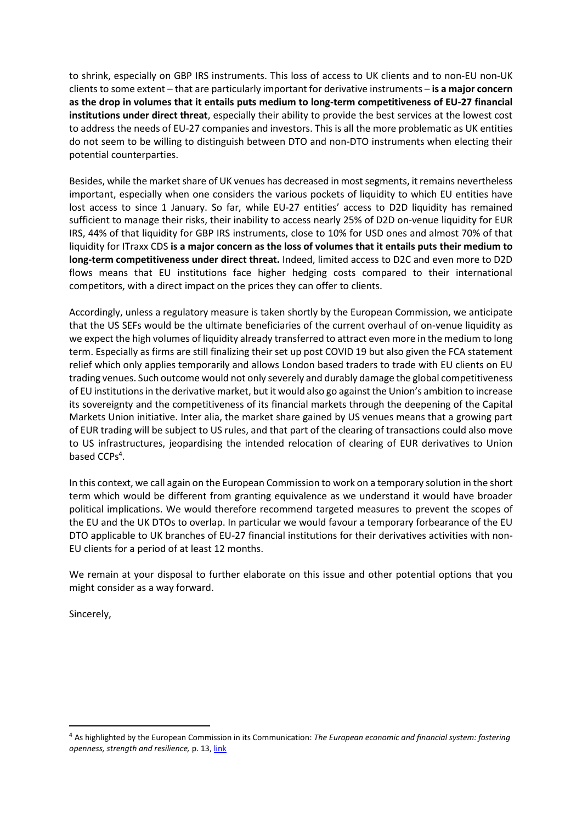to shrink, especially on GBP IRS instruments. This loss of access to UK clients and to non-EU non-UK clients to some extent – that are particularly important for derivative instruments – **is a major concern as the drop in volumes that it entails puts medium to long-term competitiveness of EU-27 financial institutions under direct threat**, especially their ability to provide the best services at the lowest cost to address the needs of EU-27 companies and investors. This is all the more problematic as UK entities do not seem to be willing to distinguish between DTO and non-DTO instruments when electing their potential counterparties.

Besides, while the market share of UK venues has decreased in most segments, it remains nevertheless important, especially when one considers the various pockets of liquidity to which EU entities have lost access to since 1 January. So far, while EU-27 entities' access to D2D liquidity has remained sufficient to manage their risks, their inability to access nearly 25% of D2D on-venue liquidity for EUR IRS, 44% of that liquidity for GBP IRS instruments, close to 10% for USD ones and almost 70% of that liquidity for ITraxx CDS **is a major concern as the loss of volumes that it entails puts their medium to long-term competitiveness under direct threat.** Indeed, limited access to D2C and even more to D2D flows means that EU institutions face higher hedging costs compared to their international competitors, with a direct impact on the prices they can offer to clients.

Accordingly, unless a regulatory measure is taken shortly by the European Commission, we anticipate that the US SEFs would be the ultimate beneficiaries of the current overhaul of on-venue liquidity as we expect the high volumes of liquidity already transferred to attract even more in the medium to long term. Especially as firms are still finalizing their set up post COVID 19 but also given the FCA statement relief which only applies temporarily and allows London based traders to trade with EU clients on EU trading venues. Such outcome would not only severely and durably damage the global competitiveness of EU institutions in the derivative market, but it would also go against the Union's ambition to increase its sovereignty and the competitiveness of its financial markets through the deepening of the Capital Markets Union initiative. Inter alia, the market share gained by US venues means that a growing part of EUR trading will be subject to US rules, and that part of the clearing of transactions could also move to US infrastructures, jeopardising the intended relocation of clearing of EUR derivatives to Union based CCPs<sup>4</sup>.

In this context, we call again on the European Commission to work on a temporary solution in the short term which would be different from granting equivalence as we understand it would have broader political implications. We would therefore recommend targeted measures to prevent the scopes of the EU and the UK DTOs to overlap. In particular we would favour a temporary forbearance of the EU DTO applicable to UK branches of EU-27 financial institutions for their derivatives activities with non-EU clients for a period of at least 12 months.

We remain at your disposal to further elaborate on this issue and other potential options that you might consider as a way forward.

Sincerely,

<sup>4</sup> As highlighted by the European Commission in its Communication: *The European economic and financial system: fostering openness, strength and resilience,* p. 13[, link](https://eur-lex.europa.eu/legal-content/EN/TXT/?uri=CELEX%3A52021DC0032&qid=1611728656387)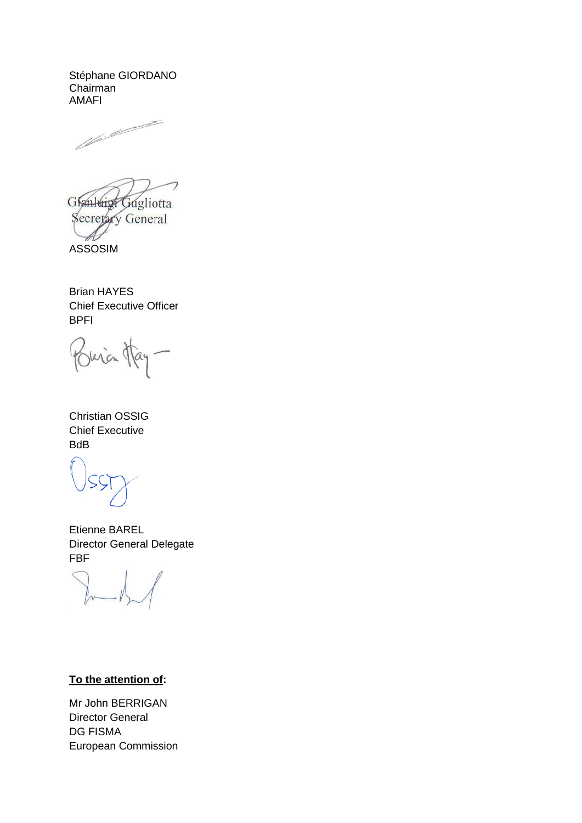Stéphane GIORDANO Chairman AMAFI



Glanleigh Gugliotta Secretary General ASSOSIM

Brian HAYES Chief Executive Officer BPFI

Buria Hay-

Christian OSSIG Chief Executive BdB

Etienne BAREL Director General Delegate FBF

## **To the attention of:**

Mr John BERRIGAN Director General DG FISMA European Commission